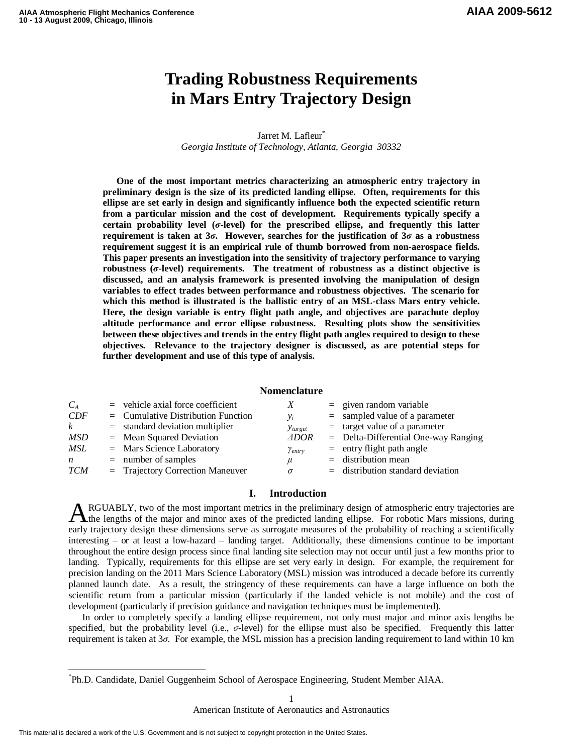# **Trading Robustness Requirements in Mars Entry Trajectory Design**

Jarret M. Lafleur<sup>\*</sup> *Georgia Institute of Technology, Atlanta, Georgia 30332* 

**One of the most important metrics characterizing an atmospheric entry trajectory in preliminary design is the size of its predicted landing ellipse. Often, requirements for this ellipse are set early in design and significantly influence both the expected scientific return from a particular mission and the cost of development. Requirements typically specify a certain probability level (**σ**-level) for the prescribed ellipse, and frequently this latter requirement is taken at 3**σ**. However, searches for the justification of 3**σ **as a robustness requirement suggest it is an empirical rule of thumb borrowed from non-aerospace fields. This paper presents an investigation into the sensitivity of trajectory performance to varying robustness (**σ**-level) requirements. The treatment of robustness as a distinct objective is discussed, and an analysis framework is presented involving the manipulation of design variables to effect trades between performance and robustness objectives. The scenario for which this method is illustrated is the ballistic entry of an MSL-class Mars entry vehicle. Here, the design variable is entry flight path angle, and objectives are parachute deploy altitude performance and error ellipse robustness. Resulting plots show the sensitivities between these objectives and trends in the entry flight path angles required to design to these objectives. Relevance to the trajectory designer is discussed, as are potential steps for further development and use of this type of analysis.** 

## **Nomenclature**

| $C_{A}$          | $=$ vehicle axial force coefficient  | X                | $=$ given random variable              |
|------------------|--------------------------------------|------------------|----------------------------------------|
| CDF              | $=$ Cumulative Distribution Function | $v_i$            | $=$ sampled value of a parameter       |
| $\mathbf{k}$     | $=$ standard deviation multiplier    | $y_{target}$     | $=$ target value of a parameter        |
| <b>MSD</b>       | $=$ Mean Squared Deviation           | $\triangle DOR$  | $=$ Delta-Differential One-way Ranging |
| MSL              | $=$ Mars Science Laboratory          | $\gamma_{entry}$ | $=$ entry flight path angle            |
| $\boldsymbol{n}$ | $=$ number of samples                | $\mu$            | $=$ distribution mean                  |
| <b>TCM</b>       | $=$ Trajectory Correction Maneuver   | $\sigma$         | $=$ distribution standard deviation    |

## **I. Introduction**

RGUABLY, two of the most important metrics in the preliminary design of atmospheric entry trajectories are ARGUABLY, two of the most important metrics in the preliminary design of atmospheric entry trajectories are the lengths of the major and minor axes of the predicted landing ellipse. For robotic Mars missions, during early trajectory design these dimensions serve as surrogate measures of the probability of reaching a scientifically interesting – or at least a low-hazard – landing target. Additionally, these dimensions continue to be important throughout the entire design process since final landing site selection may not occur until just a few months prior to landing. Typically, requirements for this ellipse are set very early in design. For example, the requirement for precision landing on the 2011 Mars Science Laboratory (MSL) mission was introduced a decade before its currently planned launch date. As a result, the stringency of these requirements can have a large influence on both the scientific return from a particular mission (particularly if the landed vehicle is not mobile) and the cost of development (particularly if precision guidance and navigation techniques must be implemented).

In order to completely specify a landing ellipse requirement, not only must major and minor axis lengths be specified, but the probability level (i.e., σ-level) for the ellipse must also be specified. Frequently this latter requirement is taken at  $3\sigma$ . For example, the MSL mission has a precision landing requirement to land within 10 km

American Institute of Aeronautics and Astronautics

-

<sup>\*</sup> Ph.D. Candidate, Daniel Guggenheim School of Aerospace Engineering, Student Member AIAA.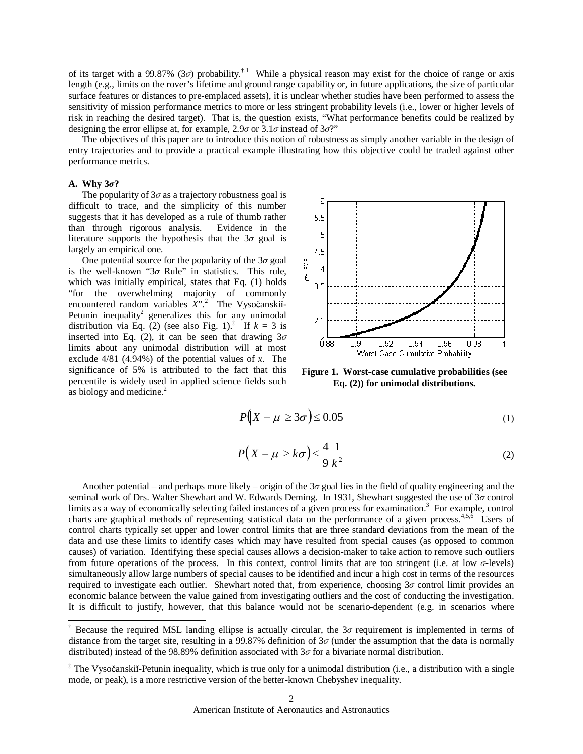of its target with a 99.87% (3 $\sigma$ ) probability.<sup>†,1</sup> While a physical reason may exist for the choice of range or axis length (e.g., limits on the rover's lifetime and ground range capability or, in future applications, the size of particular surface features or distances to pre-emplaced assets), it is unclear whether studies have been performed to assess the sensitivity of mission performance metrics to more or less stringent probability levels (i.e., lower or higher levels of risk in reaching the desired target). That is, the question exists, "What performance benefits could be realized by designing the error ellipse at, for example,  $2.9\sigma$  or  $3.1\sigma$  instead of  $3\sigma$ ?"

The objectives of this paper are to introduce this notion of robustness as simply another variable in the design of entry trajectories and to provide a practical example illustrating how this objective could be traded against other performance metrics.

## **A. Why 3**σ**?**

1

The popularity of  $3\sigma$  as a trajectory robustness goal is difficult to trace, and the simplicity of this number suggests that it has developed as a rule of thumb rather than through rigorous analysis. Evidence in the literature supports the hypothesis that the  $3\sigma$  goal is largely an empirical one.

One potential source for the popularity of the  $3\sigma$  goal is the well-known " $3\sigma$  Rule" in statistics. This rule, which was initially empirical, states that Eq. (1) holds "for the overwhelming majority of commonly encountered random variables *X*".<sup>2</sup> The Vysočanskiĭ-Petunin inequality<sup>2</sup> generalizes this for any unimodal distribution via Eq. (2) (see also Fig. 1).<sup> $\ddagger$ </sup> If  $k = 3$  is inserted into Eq. (2), it can be seen that drawing  $3\sigma$ limits about any unimodal distribution will at most exclude 4/81 (4.94%) of the potential values of *x*. The significance of 5% is attributed to the fact that this percentile is widely used in applied science fields such as biology and medicine.<sup>2</sup>



**Figure 1. Worst-case cumulative probabilities (see Eq. (2)) for unimodal distributions.** 

$$
P(|X - \mu| \ge 3\sigma) \le 0.05\tag{1}
$$

$$
P(|X - \mu| \ge k\sigma) \le \frac{4}{9} \frac{1}{k^2}
$$
 (2)

Another potential – and perhaps more likely – origin of the  $3\sigma$  goal lies in the field of quality engineering and the seminal work of Drs. Walter Shewhart and W. Edwards Deming. In 1931, Shewhart suggested the use of 3σ control limits as a way of economically selecting failed instances of a given process for examination.<sup>3</sup> For example, control charts are graphical methods of representing statistical data on the performance of a given process.<sup>4,5,6</sup> Users of control charts typically set upper and lower control limits that are three standard deviations from the mean of the data and use these limits to identify cases which may have resulted from special causes (as opposed to common causes) of variation. Identifying these special causes allows a decision-maker to take action to remove such outliers from future operations of the process. In this context, control limits that are too stringent (i.e. at low  $\sigma$ -levels) simultaneously allow large numbers of special causes to be identified and incur a high cost in terms of the resources required to investigate each outlier. Shewhart noted that, from experience, choosing  $3\sigma$  control limit provides an economic balance between the value gained from investigating outliers and the cost of conducting the investigation. It is difficult to justify, however, that this balance would not be scenario-dependent (e.g. in scenarios where

<sup>&</sup>lt;sup>†</sup> Because the required MSL landing ellipse is actually circular, the  $3\sigma$  requirement is implemented in terms of distance from the target site, resulting in a 99.87% definition of  $3\sigma$  (under the assumption that the data is normally distributed) instead of the 98.89% definition associated with  $3\sigma$  for a bivariate normal distribution.

<sup>‡</sup> The Vysočanskiĭ-Petunin inequality, which is true only for a unimodal distribution (i.e., a distribution with a single mode, or peak), is a more restrictive version of the better-known Chebyshev inequality.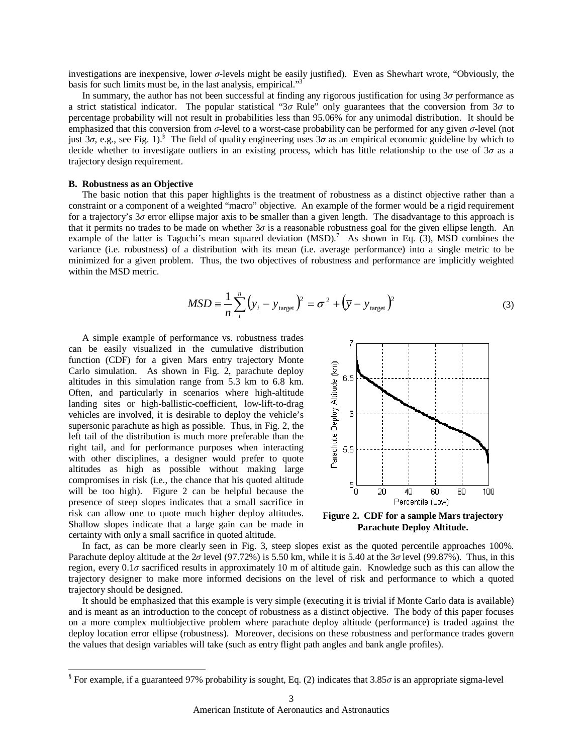investigations are inexpensive, lower σ-levels might be easily justified). Even as Shewhart wrote, "Obviously, the basis for such limits must be, in the last analysis, empirical."<sup>3</sup>

In summary, the author has not been successful at finding any rigorous justification for using  $3\sigma$  performance as a strict statistical indicator. The popular statistical "3 $\sigma$  Rule" only guarantees that the conversion from 3 $\sigma$  to percentage probability will not result in probabilities less than 95.06% for any unimodal distribution. It should be emphasized that this conversion from  $\sigma$ -level to a worst-case probability can be performed for any given  $\sigma$ -level (not just 3 $\sigma$ , e.g., see Fig. 1).<sup>§</sup> The field of quality engineering uses 3 $\sigma$  as an empirical economic guideline by which to decide whether to investigate outliers in an existing process, which has little relationship to the use of  $3\sigma$  as a trajectory design requirement.

## **B. Robustness as an Objective**

The basic notion that this paper highlights is the treatment of robustness as a distinct objective rather than a constraint or a component of a weighted "macro" objective. An example of the former would be a rigid requirement for a trajectory's  $3\sigma$  error ellipse major axis to be smaller than a given length. The disadvantage to this approach is that it permits no trades to be made on whether  $3\sigma$  is a reasonable robustness goal for the given ellipse length. An example of the latter is Taguchi's mean squared deviation  $(MSD)$ .<sup>7</sup> As shown in Eq. (3), MSD combines the variance (i.e. robustness) of a distribution with its mean (i.e. average performance) into a single metric to be minimized for a given problem. Thus, the two objectives of robustness and performance are implicitly weighted within the MSD metric.

$$
MSD = \frac{1}{n} \sum_{i}^{n} (y_i - y_{\text{target}})^2 = \sigma^2 + (\overline{y} - y_{\text{target}})^2
$$
 (3)

A simple example of performance vs. robustness trades can be easily visualized in the cumulative distribution function (CDF) for a given Mars entry trajectory Monte Carlo simulation. As shown in Fig. 2, parachute deploy altitudes in this simulation range from 5.3 km to 6.8 km. Often, and particularly in scenarios where high-altitude landing sites or high-ballistic-coefficient, low-lift-to-drag vehicles are involved, it is desirable to deploy the vehicle's supersonic parachute as high as possible. Thus, in Fig. 2, the left tail of the distribution is much more preferable than the right tail, and for performance purposes when interacting with other disciplines, a designer would prefer to quote altitudes as high as possible without making large compromises in risk (i.e., the chance that his quoted altitude will be too high). Figure 2 can be helpful because the presence of steep slopes indicates that a small sacrifice in risk can allow one to quote much higher deploy altitudes. Shallow slopes indicate that a large gain can be made in certainty with only a small sacrifice in quoted altitude.



**Figure 2. CDF for a sample Mars trajectory Parachute Deploy Altitude.** 

In fact, as can be more clearly seen in Fig. 3, steep slopes exist as the quoted percentile approaches 100%. Parachute deploy altitude at the  $2\sigma$  level (97.72%) is 5.50 km, while it is 5.40 at the  $3\sigma$  level (99.87%). Thus, in this region, every 0.1σ sacrificed results in approximately 10 m of altitude gain. Knowledge such as this can allow the trajectory designer to make more informed decisions on the level of risk and performance to which a quoted trajectory should be designed.

It should be emphasized that this example is very simple (executing it is trivial if Monte Carlo data is available) and is meant as an introduction to the concept of robustness as a distinct objective. The body of this paper focuses on a more complex multiobjective problem where parachute deploy altitude (performance) is traded against the deploy location error ellipse (robustness). Moreover, decisions on these robustness and performance trades govern the values that design variables will take (such as entry flight path angles and bank angle profiles).

 § For example, if a guaranteed 97% probability is sought, Eq. (2) indicates that 3.85σ is an appropriate sigma-level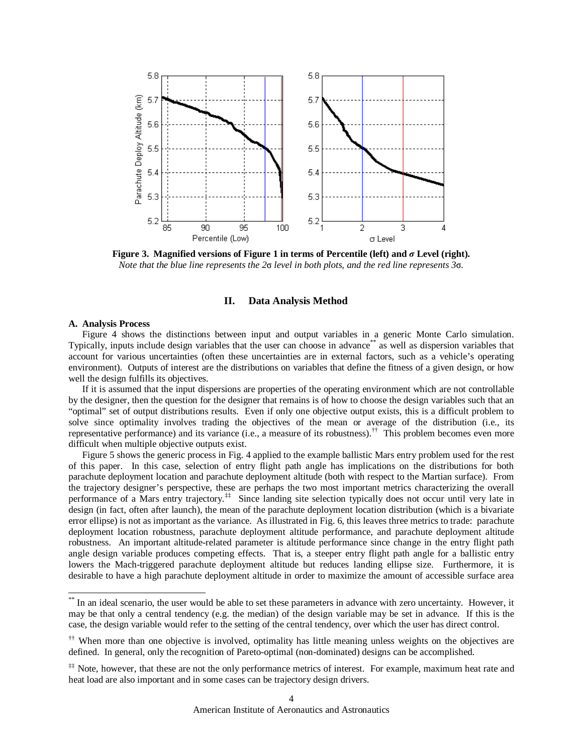

**Figure 3. Magnified versions of Figure 1 in terms of Percentile (left) and** σ **Level (right).**  *Note that the blue line represents the 2*σ *level in both plots, and the red line represents 3*σ*.*

## **II. Data Analysis Method**

#### **A. Analysis Process**

-

Figure 4 shows the distinctions between input and output variables in a generic Monte Carlo simulation. Typically, inputs include design variables that the user can choose in advance\*\* as well as dispersion variables that account for various uncertainties (often these uncertainties are in external factors, such as a vehicle's operating environment). Outputs of interest are the distributions on variables that define the fitness of a given design, or how well the design fulfills its objectives.

If it is assumed that the input dispersions are properties of the operating environment which are not controllable by the designer, then the question for the designer that remains is of how to choose the design variables such that an "optimal" set of output distributions results. Even if only one objective output exists, this is a difficult problem to solve since optimality involves trading the objectives of the mean or average of the distribution (i.e., its representative performance) and its variance (i.e., a measure of its robustness).<sup>††</sup> This problem becomes even more difficult when multiple objective outputs exist.

Figure 5 shows the generic process in Fig. 4 applied to the example ballistic Mars entry problem used for the rest of this paper. In this case, selection of entry flight path angle has implications on the distributions for both parachute deployment location and parachute deployment altitude (both with respect to the Martian surface). From the trajectory designer's perspective, these are perhaps the two most important metrics characterizing the overall performance of a Mars entry trajectory.<sup>‡‡</sup> Since landing site selection typically does not occur until very late in design (in fact, often after launch), the mean of the parachute deployment location distribution (which is a bivariate error ellipse) is not as important as the variance. As illustrated in Fig. 6, this leaves three metrics to trade: parachute deployment location robustness, parachute deployment altitude performance, and parachute deployment altitude robustness. An important altitude-related parameter is altitude performance since change in the entry flight path angle design variable produces competing effects. That is, a steeper entry flight path angle for a ballistic entry lowers the Mach-triggered parachute deployment altitude but reduces landing ellipse size. Furthermore, it is desirable to have a high parachute deployment altitude in order to maximize the amount of accessible surface area

<sup>\*\*</sup> In an ideal scenario, the user would be able to set these parameters in advance with zero uncertainty. However, it may be that only a central tendency (e.g. the median) of the design variable may be set in advance. If this is the case, the design variable would refer to the setting of the central tendency, over which the user has direct control.

<sup>&</sup>lt;sup>††</sup> When more than one objective is involved, optimality has little meaning unless weights on the objectives are defined. In general, only the recognition of Pareto-optimal (non-dominated) designs can be accomplished.

<sup>&</sup>lt;sup>##</sup> Note, however, that these are not the only performance metrics of interest. For example, maximum heat rate and heat load are also important and in some cases can be trajectory design drivers.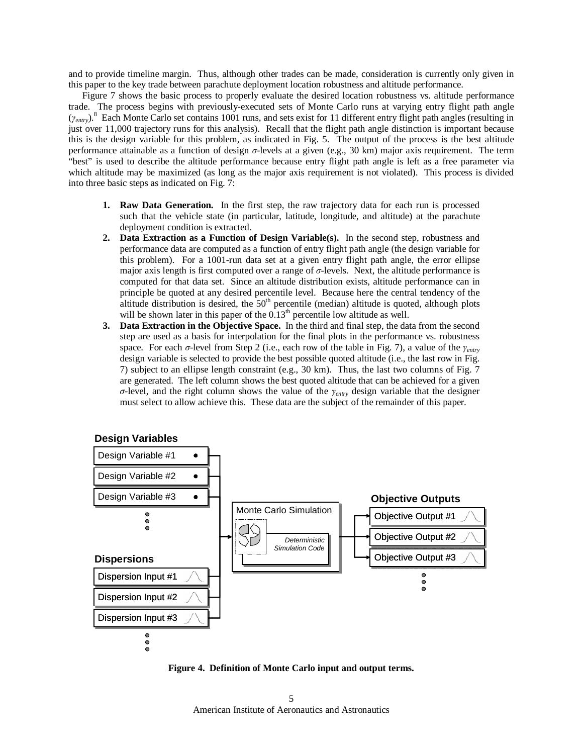and to provide timeline margin. Thus, although other trades can be made, consideration is currently only given in this paper to the key trade between parachute deployment location robustness and altitude performance.

Figure 7 shows the basic process to properly evaluate the desired location robustness vs. altitude performance trade. The process begins with previously-executed sets of Monte Carlo runs at varying entry flight path angle (γ*entry*).<sup>8</sup> Each Monte Carlo set contains 1001 runs, and sets exist for 11 different entry flight path angles (resulting in just over 11,000 trajectory runs for this analysis). Recall that the flight path angle distinction is important because this is the design variable for this problem, as indicated in Fig. 5. The output of the process is the best altitude performance attainable as a function of design  $\sigma$ -levels at a given (e.g., 30 km) major axis requirement. The term "best" is used to describe the altitude performance because entry flight path angle is left as a free parameter via which altitude may be maximized (as long as the major axis requirement is not violated). This process is divided into three basic steps as indicated on Fig. 7:

- **1. Raw Data Generation.** In the first step, the raw trajectory data for each run is processed such that the vehicle state (in particular, latitude, longitude, and altitude) at the parachute deployment condition is extracted.
- **2. Data Extraction as a Function of Design Variable(s).** In the second step, robustness and performance data are computed as a function of entry flight path angle (the design variable for this problem). For a 1001-run data set at a given entry flight path angle, the error ellipse major axis length is first computed over a range of  $\sigma$ -levels. Next, the altitude performance is computed for that data set. Since an altitude distribution exists, altitude performance can in principle be quoted at any desired percentile level. Because here the central tendency of the altitude distribution is desired, the  $50<sup>th</sup>$  percentile (median) altitude is quoted, although plots will be shown later in this paper of the  $0.13<sup>th</sup>$  percentile low altitude as well.
- **3. Data Extraction in the Objective Space.** In the third and final step, the data from the second step are used as a basis for interpolation for the final plots in the performance vs. robustness space. For each σ-level from Step 2 (i.e., each row of the table in Fig. 7), a value of the γ*entry* design variable is selected to provide the best possible quoted altitude (i.e., the last row in Fig. 7) subject to an ellipse length constraint (e.g., 30 km). Thus, the last two columns of Fig. 7 are generated. The left column shows the best quoted altitude that can be achieved for a given σ-level, and the right column shows the value of the γ*entry* design variable that the designer must select to allow achieve this. These data are the subject of the remainder of this paper.



# **Design Variables**

**Figure 4. Definition of Monte Carlo input and output terms.**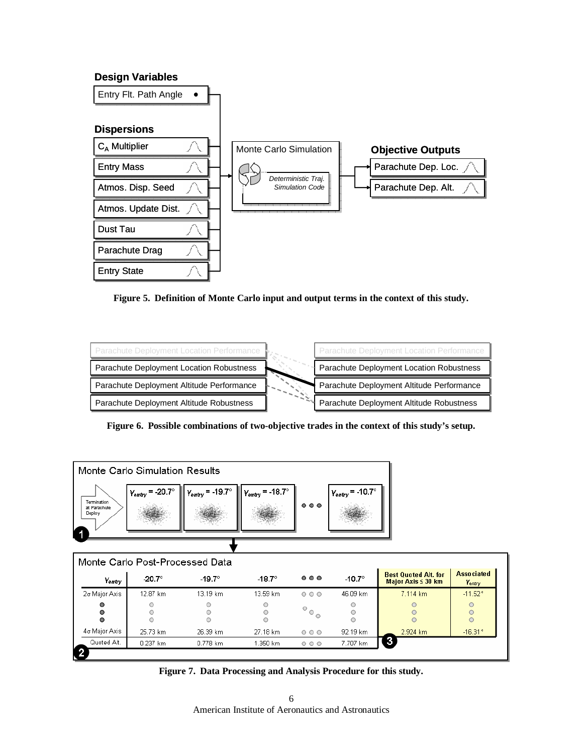# **Design Variables**



**Figure 5. Definition of Monte Carlo input and output terms in the context of this study.** 



**Figure 6. Possible combinations of two-objective trades in the context of this study's setup.** 



**Figure 7. Data Processing and Analysis Procedure for this study.**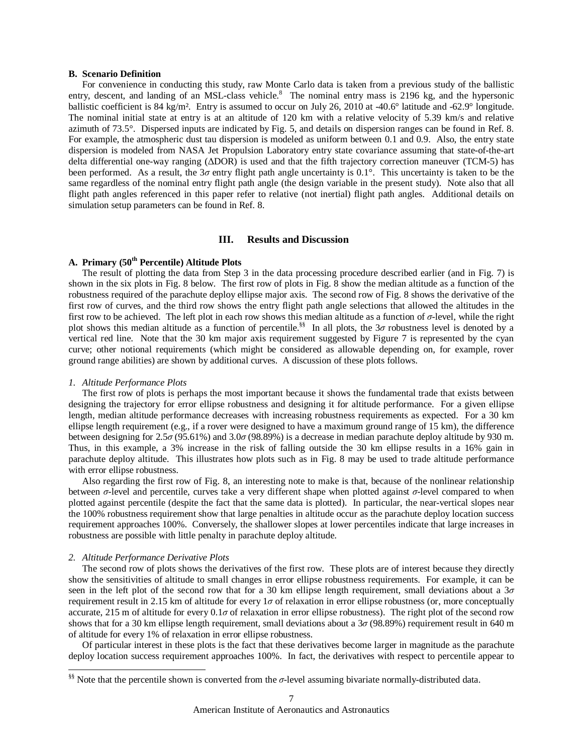## **B. Scenario Definition**

For convenience in conducting this study, raw Monte Carlo data is taken from a previous study of the ballistic entry, descent, and landing of an MSL-class vehicle.<sup>8</sup> The nominal entry mass is 2196 kg, and the hypersonic ballistic coefficient is 84 kg/m². Entry is assumed to occur on July 26, 2010 at -40.6° latitude and -62.9° longitude. The nominal initial state at entry is at an altitude of 120 km with a relative velocity of 5.39 km/s and relative azimuth of 73.5°. Dispersed inputs are indicated by Fig. 5, and details on dispersion ranges can be found in Ref. 8. For example, the atmospheric dust tau dispersion is modeled as uniform between 0.1 and 0.9. Also, the entry state dispersion is modeled from NASA Jet Propulsion Laboratory entry state covariance assuming that state-of-the-art delta differential one-way ranging (∆DOR) is used and that the fifth trajectory correction maneuver (TCM-5) has been performed. As a result, the  $3\sigma$  entry flight path angle uncertainty is 0.1°. This uncertainty is taken to be the same regardless of the nominal entry flight path angle (the design variable in the present study). Note also that all flight path angles referenced in this paper refer to relative (not inertial) flight path angles. Additional details on simulation setup parameters can be found in Ref. 8.

## **III. Results and Discussion**

## **A. Primary (50th Percentile) Altitude Plots**

The result of plotting the data from Step 3 in the data processing procedure described earlier (and in Fig. 7) is shown in the six plots in Fig. 8 below. The first row of plots in Fig. 8 show the median altitude as a function of the robustness required of the parachute deploy ellipse major axis. The second row of Fig. 8 shows the derivative of the first row of curves, and the third row shows the entry flight path angle selections that allowed the altitudes in the first row to be achieved. The left plot in each row shows this median altitude as a function of  $\sigma$ -level, while the right plot shows this median altitude as a function of percentile.<sup>§§</sup> In all plots, the  $3\sigma$  robustness level is denoted by a vertical red line. Note that the 30 km major axis requirement suggested by Figure 7 is represented by the cyan curve; other notional requirements (which might be considered as allowable depending on, for example, rover ground range abilities) are shown by additional curves. A discussion of these plots follows.

#### *1. Altitude Performance Plots*

The first row of plots is perhaps the most important because it shows the fundamental trade that exists between designing the trajectory for error ellipse robustness and designing it for altitude performance. For a given ellipse length, median altitude performance decreases with increasing robustness requirements as expected. For a 30 km ellipse length requirement (e.g., if a rover were designed to have a maximum ground range of 15 km), the difference between designing for  $2.5\sigma$  (95.61%) and  $3.0\sigma$  (98.89%) is a decrease in median parachute deploy altitude by 930 m. Thus, in this example, a 3% increase in the risk of falling outside the 30 km ellipse results in a 16% gain in parachute deploy altitude. This illustrates how plots such as in Fig. 8 may be used to trade altitude performance with error ellipse robustness.

Also regarding the first row of Fig. 8, an interesting note to make is that, because of the nonlinear relationship between  $\sigma$ -level and percentile, curves take a very different shape when plotted against  $\sigma$ -level compared to when plotted against percentile (despite the fact that the same data is plotted). In particular, the near-vertical slopes near the 100% robustness requirement show that large penalties in altitude occur as the parachute deploy location success requirement approaches 100%. Conversely, the shallower slopes at lower percentiles indicate that large increases in robustness are possible with little penalty in parachute deploy altitude.

#### *2. Altitude Performance Derivative Plots*

 $\overline{a}$ 

The second row of plots shows the derivatives of the first row. These plots are of interest because they directly show the sensitivities of altitude to small changes in error ellipse robustness requirements. For example, it can be seen in the left plot of the second row that for a 30 km ellipse length requirement, small deviations about a  $3\sigma$ requirement result in 2.15 km of altitude for every  $1\sigma$  of relaxation in error ellipse robustness (or, more conceptually accurate, 215 m of altitude for every 0.1σ of relaxation in error ellipse robustness). The right plot of the second row shows that for a 30 km ellipse length requirement, small deviations about a 3σ (98.89%) requirement result in 640 m of altitude for every 1% of relaxation in error ellipse robustness.

Of particular interest in these plots is the fact that these derivatives become larger in magnitude as the parachute deploy location success requirement approaches 100%. In fact, the derivatives with respect to percentile appear to

<sup>§§</sup> Note that the percentile shown is converted from the  $\sigma$ -level assuming bivariate normally-distributed data.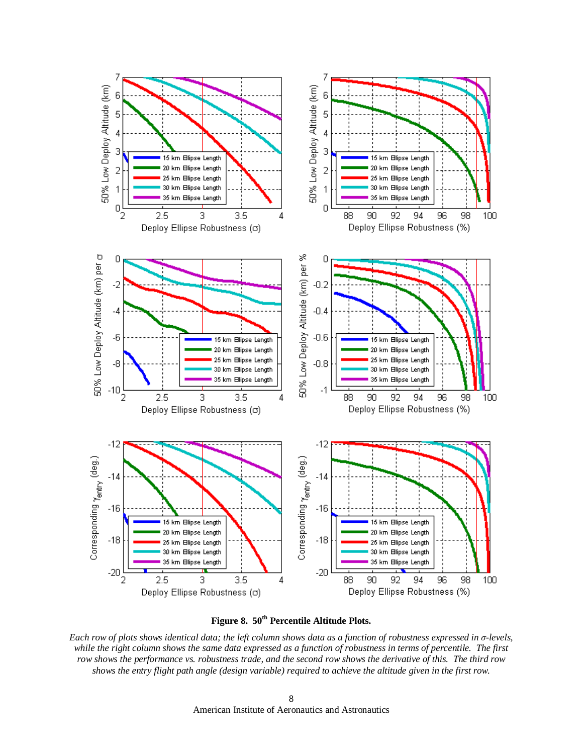



*Each row of plots shows identical data; the left column shows data as a function of robustness expressed in* σ*-levels, while the right column shows the same data expressed as a function of robustness in terms of percentile. The first row shows the performance vs. robustness trade, and the second row shows the derivative of this. The third row shows the entry flight path angle (design variable) required to achieve the altitude given in the first row.*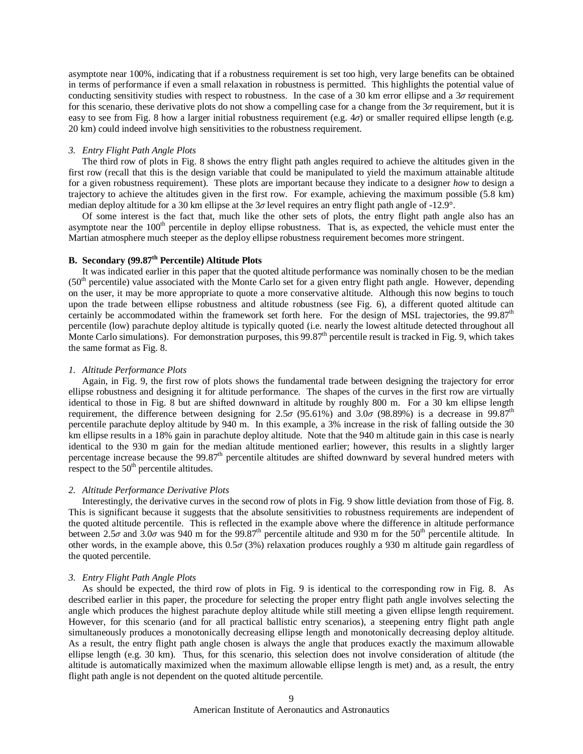asymptote near 100%, indicating that if a robustness requirement is set too high, very large benefits can be obtained in terms of performance if even a small relaxation in robustness is permitted. This highlights the potential value of conducting sensitivity studies with respect to robustness. In the case of a 30 km error ellipse and a  $3\sigma$  requirement for this scenario, these derivative plots do not show a compelling case for a change from the  $3\sigma$  requirement, but it is easy to see from Fig. 8 how a larger initial robustness requirement (e.g.  $4\sigma$ ) or smaller required ellipse length (e.g. 20 km) could indeed involve high sensitivities to the robustness requirement.

## *3. Entry Flight Path Angle Plots*

The third row of plots in Fig. 8 shows the entry flight path angles required to achieve the altitudes given in the first row (recall that this is the design variable that could be manipulated to yield the maximum attainable altitude for a given robustness requirement). These plots are important because they indicate to a designer *how* to design a trajectory to achieve the altitudes given in the first row. For example, achieving the maximum possible (5.8 km) median deploy altitude for a 30 km ellipse at the  $3\sigma$  level requires an entry flight path angle of -12.9°.

Of some interest is the fact that, much like the other sets of plots, the entry flight path angle also has an asymptote near the 100<sup>th</sup> percentile in deploy ellipse robustness. That is, as expected, the vehicle must enter the Martian atmosphere much steeper as the deploy ellipse robustness requirement becomes more stringent.

## **B. Secondary (99.87th Percentile) Altitude Plots**

It was indicated earlier in this paper that the quoted altitude performance was nominally chosen to be the median (50<sup>th</sup> percentile) value associated with the Monte Carlo set for a given entry flight path angle. However, depending on the user, it may be more appropriate to quote a more conservative altitude. Although this now begins to touch upon the trade between ellipse robustness and altitude robustness (see Fig. 6), a different quoted altitude can certainly be accommodated within the framework set forth here. For the design of MSL trajectories, the  $99.87<sup>th</sup>$ percentile (low) parachute deploy altitude is typically quoted (i.e. nearly the lowest altitude detected throughout all Monte Carlo simulations). For demonstration purposes, this  $99.87<sup>th</sup>$  percentile result is tracked in Fig. 9, which takes the same format as Fig. 8.

#### *1. Altitude Performance Plots*

Again, in Fig. 9, the first row of plots shows the fundamental trade between designing the trajectory for error ellipse robustness and designing it for altitude performance. The shapes of the curves in the first row are virtually identical to those in Fig. 8 but are shifted downward in altitude by roughly 800 m. For a 30 km ellipse length requirement, the difference between designing for 2.5 $\sigma$  (95.61%) and 3.0 $\sigma$  (98.89%) is a decrease in 99.87<sup>th</sup> percentile parachute deploy altitude by 940 m. In this example, a 3% increase in the risk of falling outside the 30 km ellipse results in a 18% gain in parachute deploy altitude. Note that the 940 m altitude gain in this case is nearly identical to the 930 m gain for the median altitude mentioned earlier; however, this results in a slightly larger percentage increase because the 99.87<sup>th</sup> percentile altitudes are shifted downward by several hundred meters with respect to the  $50<sup>th</sup>$  percentile altitudes.

#### *2. Altitude Performance Derivative Plots*

Interestingly, the derivative curves in the second row of plots in Fig. 9 show little deviation from those of Fig. 8. This is significant because it suggests that the absolute sensitivities to robustness requirements are independent of the quoted altitude percentile. This is reflected in the example above where the difference in altitude performance between 2.5 $\sigma$  and 3.0 $\sigma$  was 940 m for the 99.87<sup>th</sup> percentile altitude and 930 m for the 50<sup>th</sup> percentile altitude. In other words, in the example above, this  $0.5\sigma(3\%)$  relaxation produces roughly a 930 m altitude gain regardless of the quoted percentile.

#### *3. Entry Flight Path Angle Plots*

As should be expected, the third row of plots in Fig. 9 is identical to the corresponding row in Fig. 8. As described earlier in this paper, the procedure for selecting the proper entry flight path angle involves selecting the angle which produces the highest parachute deploy altitude while still meeting a given ellipse length requirement. However, for this scenario (and for all practical ballistic entry scenarios), a steepening entry flight path angle simultaneously produces a monotonically decreasing ellipse length and monotonically decreasing deploy altitude. As a result, the entry flight path angle chosen is always the angle that produces exactly the maximum allowable ellipse length (e.g. 30 km). Thus, for this scenario, this selection does not involve consideration of altitude (the altitude is automatically maximized when the maximum allowable ellipse length is met) and, as a result, the entry flight path angle is not dependent on the quoted altitude percentile.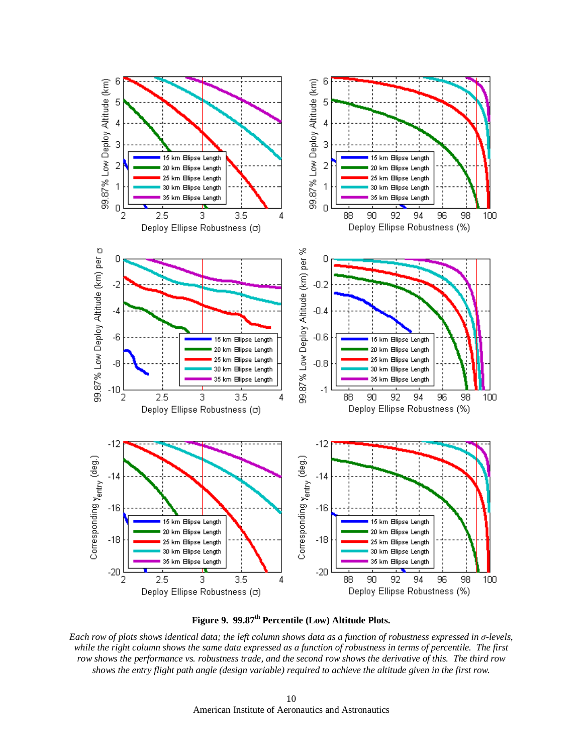



*Each row of plots shows identical data; the left column shows data as a function of robustness expressed in* σ*-levels, while the right column shows the same data expressed as a function of robustness in terms of percentile. The first row shows the performance vs. robustness trade, and the second row shows the derivative of this. The third row shows the entry flight path angle (design variable) required to achieve the altitude given in the first row.*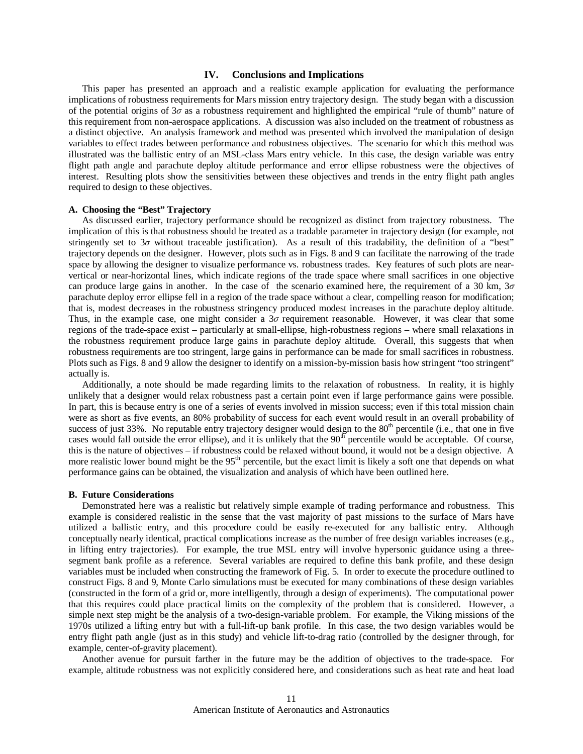## **IV. Conclusions and Implications**

This paper has presented an approach and a realistic example application for evaluating the performance implications of robustness requirements for Mars mission entry trajectory design. The study began with a discussion of the potential origins of  $3\sigma$  as a robustness requirement and highlighted the empirical "rule of thumb" nature of this requirement from non-aerospace applications. A discussion was also included on the treatment of robustness as a distinct objective. An analysis framework and method was presented which involved the manipulation of design variables to effect trades between performance and robustness objectives. The scenario for which this method was illustrated was the ballistic entry of an MSL-class Mars entry vehicle. In this case, the design variable was entry flight path angle and parachute deploy altitude performance and error ellipse robustness were the objectives of interest. Resulting plots show the sensitivities between these objectives and trends in the entry flight path angles required to design to these objectives.

## **A. Choosing the "Best" Trajectory**

As discussed earlier, trajectory performance should be recognized as distinct from trajectory robustness. The implication of this is that robustness should be treated as a tradable parameter in trajectory design (for example, not stringently set to  $3\sigma$  without traceable justification). As a result of this tradability, the definition of a "best" trajectory depends on the designer. However, plots such as in Figs. 8 and 9 can facilitate the narrowing of the trade space by allowing the designer to visualize performance vs. robustness trades. Key features of such plots are nearvertical or near-horizontal lines, which indicate regions of the trade space where small sacrifices in one objective can produce large gains in another. In the case of the scenario examined here, the requirement of a 30 km,  $3\sigma$ parachute deploy error ellipse fell in a region of the trade space without a clear, compelling reason for modification; that is, modest decreases in the robustness stringency produced modest increases in the parachute deploy altitude. Thus, in the example case, one might consider a  $3\sigma$  requirement reasonable. However, it was clear that some regions of the trade-space exist – particularly at small-ellipse, high-robustness regions – where small relaxations in the robustness requirement produce large gains in parachute deploy altitude. Overall, this suggests that when robustness requirements are too stringent, large gains in performance can be made for small sacrifices in robustness. Plots such as Figs. 8 and 9 allow the designer to identify on a mission-by-mission basis how stringent "too stringent" actually is.

Additionally, a note should be made regarding limits to the relaxation of robustness. In reality, it is highly unlikely that a designer would relax robustness past a certain point even if large performance gains were possible. In part, this is because entry is one of a series of events involved in mission success; even if this total mission chain were as short as five events, an 80% probability of success for each event would result in an overall probability of success of just 33%. No reputable entry trajectory designer would design to the  $80<sup>th</sup>$  percentile (i.e., that one in five cases would fall outside the error ellipse), and it is unlikely that the 90<sup>th</sup> percentile would be acceptable. Of course, this is the nature of objectives – if robustness could be relaxed without bound, it would not be a design objective. A more realistic lower bound might be the 95<sup>th</sup> percentile, but the exact limit is likely a soft one that depends on what performance gains can be obtained, the visualization and analysis of which have been outlined here.

#### **B. Future Considerations**

Demonstrated here was a realistic but relatively simple example of trading performance and robustness. This example is considered realistic in the sense that the vast majority of past missions to the surface of Mars have utilized a ballistic entry, and this procedure could be easily re-executed for any ballistic entry. Although conceptually nearly identical, practical complications increase as the number of free design variables increases (e.g., in lifting entry trajectories). For example, the true MSL entry will involve hypersonic guidance using a threesegment bank profile as a reference. Several variables are required to define this bank profile, and these design variables must be included when constructing the framework of Fig. 5. In order to execute the procedure outlined to construct Figs. 8 and 9, Monte Carlo simulations must be executed for many combinations of these design variables (constructed in the form of a grid or, more intelligently, through a design of experiments). The computational power that this requires could place practical limits on the complexity of the problem that is considered. However, a simple next step might be the analysis of a two-design-variable problem. For example, the Viking missions of the 1970s utilized a lifting entry but with a full-lift-up bank profile. In this case, the two design variables would be entry flight path angle (just as in this study) and vehicle lift-to-drag ratio (controlled by the designer through, for example, center-of-gravity placement).

Another avenue for pursuit farther in the future may be the addition of objectives to the trade-space. For example, altitude robustness was not explicitly considered here, and considerations such as heat rate and heat load